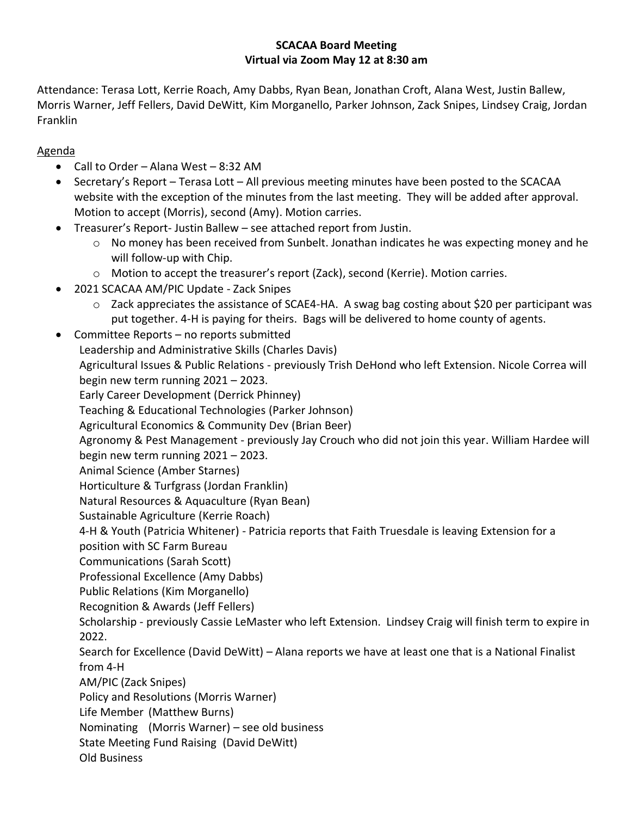## **SCACAA Board Meeting Virtual via Zoom May 12 at 8:30 am**

Attendance: Terasa Lott, Kerrie Roach, Amy Dabbs, Ryan Bean, Jonathan Croft, Alana West, Justin Ballew, Morris Warner, Jeff Fellers, David DeWitt, Kim Morganello, Parker Johnson, Zack Snipes, Lindsey Craig, Jordan Franklin

Agenda

- Call to Order Alana West 8:32 AM
- Secretary's Report Terasa Lott All previous meeting minutes have been posted to the SCACAA website with the exception of the minutes from the last meeting. They will be added after approval. Motion to accept (Morris), second (Amy). Motion carries.
- Treasurer's Report- Justin Ballew see attached report from Justin.
	- $\circ$  No money has been received from Sunbelt. Jonathan indicates he was expecting money and he will follow-up with Chip.
	- $\circ$  Motion to accept the treasurer's report (Zack), second (Kerrie). Motion carries.
- 2021 SCACAA AM/PIC Update Zack Snipes
	- o Zack appreciates the assistance of SCAE4-HA. A swag bag costing about \$20 per participant was put together. 4-H is paying for theirs. Bags will be delivered to home county of agents.
- Committee Reports no reports submitted Leadership and Administrative Skills (Charles Davis) Agricultural Issues & Public Relations - previously Trish DeHond who left Extension. Nicole Correa will begin new term running 2021 – 2023. Early Career Development (Derrick Phinney) Teaching & Educational Technologies (Parker Johnson) Agricultural Economics & Community Dev (Brian Beer) Agronomy & Pest Management - previously Jay Crouch who did not join this year. William Hardee will begin new term running 2021 – 2023. Animal Science (Amber Starnes) Horticulture & Turfgrass (Jordan Franklin) Natural Resources & Aquaculture (Ryan Bean) Sustainable Agriculture (Kerrie Roach) 4-H & Youth (Patricia Whitener) - Patricia reports that Faith Truesdale is leaving Extension for a position with SC Farm Bureau Communications (Sarah Scott) Professional Excellence (Amy Dabbs) Public Relations (Kim Morganello) Recognition & Awards (Jeff Fellers) Scholarship - previously Cassie LeMaster who left Extension. Lindsey Craig will finish term to expire in 2022. Search for Excellence (David DeWitt) – Alana reports we have at least one that is a National Finalist from 4-H AM/PIC (Zack Snipes) Policy and Resolutions (Morris Warner) Life Member (Matthew Burns) Nominating (Morris Warner) – see old business State Meeting Fund Raising (David DeWitt) Old Business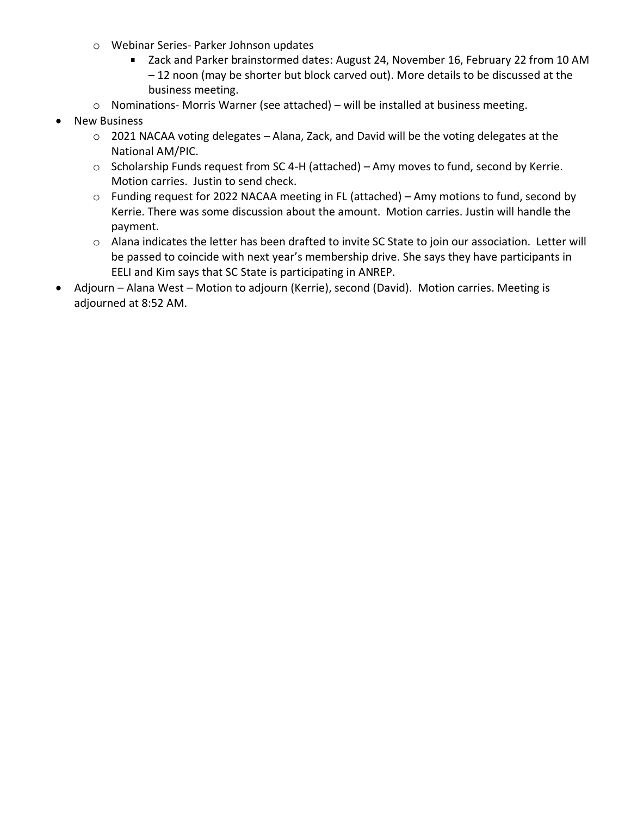- o Webinar Series- Parker Johnson updates
	- Zack and Parker brainstormed dates: August 24, November 16, February 22 from 10 AM – 12 noon (may be shorter but block carved out). More details to be discussed at the business meeting.
- o Nominations- Morris Warner (see attached) will be installed at business meeting.
- **New Business** 
	- o 2021 NACAA voting delegates Alana, Zack, and David will be the voting delegates at the National AM/PIC.
	- o Scholarship Funds request from SC 4-H (attached) Amy moves to fund, second by Kerrie. Motion carries. Justin to send check.
	- o Funding request for 2022 NACAA meeting in FL (attached) Amy motions to fund, second by Kerrie. There was some discussion about the amount. Motion carries. Justin will handle the payment.
	- o Alana indicates the letter has been drafted to invite SC State to join our association. Letter will be passed to coincide with next year's membership drive. She says they have participants in EELI and Kim says that SC State is participating in ANREP.
- Adjourn Alana West Motion to adjourn (Kerrie), second (David). Motion carries. Meeting is adjourned at 8:52 AM.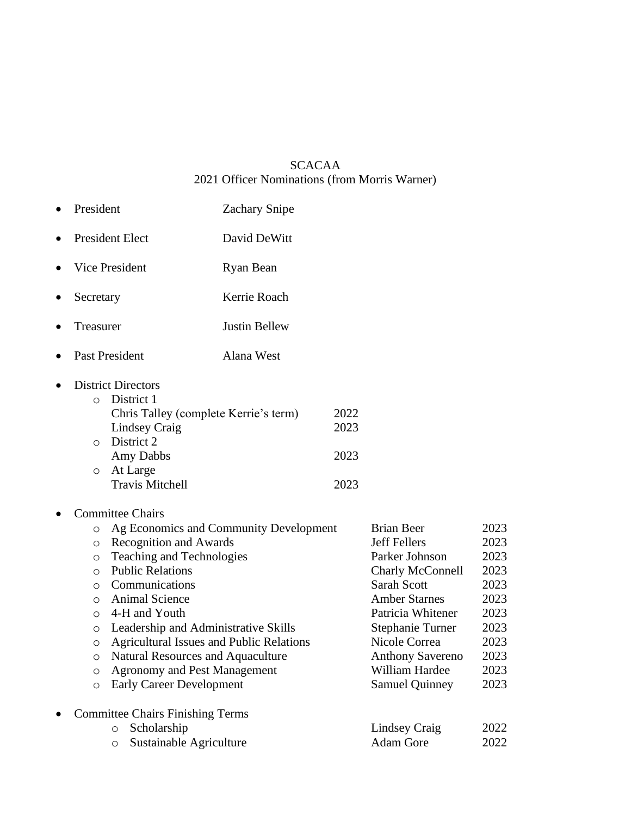## SCACAA 2021 Officer Nominations (from Morris Warner)

| President                                                                                                                                                                                                                                                                                                                                                                                                                                                                                                                                                      | <b>Zachary Snipe</b> |                              |                                                                                                                                                                                                                                                              |                                                                                              |
|----------------------------------------------------------------------------------------------------------------------------------------------------------------------------------------------------------------------------------------------------------------------------------------------------------------------------------------------------------------------------------------------------------------------------------------------------------------------------------------------------------------------------------------------------------------|----------------------|------------------------------|--------------------------------------------------------------------------------------------------------------------------------------------------------------------------------------------------------------------------------------------------------------|----------------------------------------------------------------------------------------------|
| <b>President Elect</b>                                                                                                                                                                                                                                                                                                                                                                                                                                                                                                                                         | David DeWitt         |                              |                                                                                                                                                                                                                                                              |                                                                                              |
| Vice President                                                                                                                                                                                                                                                                                                                                                                                                                                                                                                                                                 | Ryan Bean            |                              |                                                                                                                                                                                                                                                              |                                                                                              |
| Secretary                                                                                                                                                                                                                                                                                                                                                                                                                                                                                                                                                      | Kerrie Roach         |                              |                                                                                                                                                                                                                                                              |                                                                                              |
| Treasurer                                                                                                                                                                                                                                                                                                                                                                                                                                                                                                                                                      | <b>Justin Bellew</b> |                              |                                                                                                                                                                                                                                                              |                                                                                              |
| Past President                                                                                                                                                                                                                                                                                                                                                                                                                                                                                                                                                 | Alana West           |                              |                                                                                                                                                                                                                                                              |                                                                                              |
| <b>District Directors</b><br>District 1<br>$\circ$<br>Chris Talley (complete Kerrie's term)<br>Lindsey Craig<br>District 2<br>$\circ$<br>Amy Dabbs<br>At Large<br>$\circ$<br><b>Travis Mitchell</b>                                                                                                                                                                                                                                                                                                                                                            |                      | 2022<br>2023<br>2023<br>2023 |                                                                                                                                                                                                                                                              |                                                                                              |
| <b>Committee Chairs</b><br>Ag Economics and Community Development<br>$\circ$<br>Recognition and Awards<br>$\circ$<br>Teaching and Technologies<br>$\circ$<br><b>Public Relations</b><br>$\circ$<br>Communications<br>$\circ$<br><b>Animal Science</b><br>$\circ$<br>4-H and Youth<br>$\circ$<br>Leadership and Administrative Skills<br>$\circ$<br><b>Agricultural Issues and Public Relations</b><br>$\circ$<br><b>Natural Resources and Aquaculture</b><br>O<br><b>Agronomy and Pest Management</b><br>$\circ$<br><b>Early Career Development</b><br>$\circ$ |                      |                              | <b>Brian Beer</b><br><b>Jeff Fellers</b><br>Parker Johnson<br>Charly McConnell<br>Sarah Scott<br><b>Amber Starnes</b><br>Patricia Whitener<br><b>Stephanie Turner</b><br>Nicole Correa<br><b>Anthony Savereno</b><br>William Hardee<br><b>Samuel Quinney</b> | 2023<br>2023<br>2023<br>2023<br>2023<br>2023<br>2023<br>2023<br>2023<br>2023<br>2023<br>2023 |
| <b>Committee Chairs Finishing Terms</b><br>Scholarship<br>$\circ$<br>Sustainable Agriculture<br>$\circ$                                                                                                                                                                                                                                                                                                                                                                                                                                                        |                      |                              | Lindsey Craig<br><b>Adam Gore</b>                                                                                                                                                                                                                            | 2022<br>2022                                                                                 |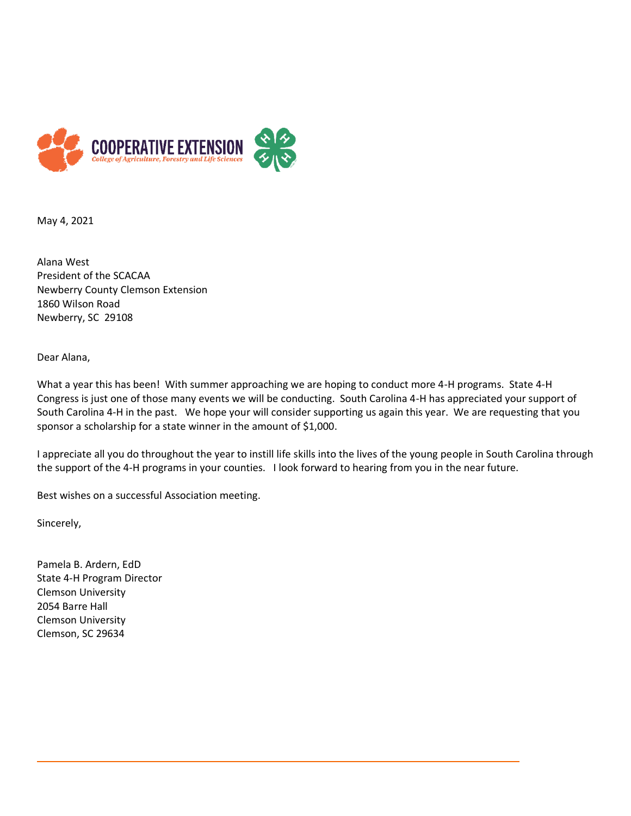

May 4, 2021

Alana West President of the SCACAA Newberry County Clemson Extension 1860 Wilson Road Newberry, SC 29108

Dear Alana,

What a year this has been! With summer approaching we are hoping to conduct more 4-H programs. State 4-H Congress is just one of those many events we will be conducting. South Carolina 4-H has appreciated your support of South Carolina 4-H in the past. We hope your will consider supporting us again this year. We are requesting that you sponsor a scholarship for a state winner in the amount of \$1,000.

I appreciate all you do throughout the year to instill life skills into the lives of the young people in South Carolina through the support of the 4-H programs in your counties. I look forward to hearing from you in the near future.

Best wishes on a successful Association meeting.

Sincerely,

Pamela B. Ardern, EdD State 4-H Program Director Clemson University 2054 Barre Hall Clemson University Clemson, SC 29634